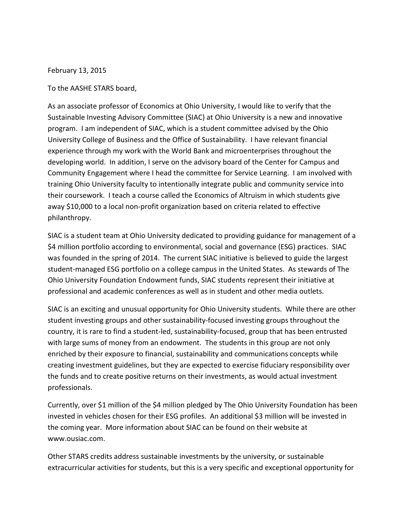February 13, 2015

## To the AASHE STARS board,

As an associate professor of Economics at Ohio University, I would like to verify that the Sustainable Investing Advisory Committee (SIAC) at Ohio University is a new and innovative program. I am independent of SIAC, which is a student committee advised by the Ohio University College of Business and the Office of Sustainability. I have relevant financial experience through my work with the World Bank and microenterprises throughout the developing world. In addition, I serve on the advisory board of the Center for Campus and Community Engagement where I head the committee for Service Learning. I am involved with training Ohio University faculty to intentionally integrate public and community service into their coursework. I teach a course called the Economics of Altruism in which students give away \$10,000 to a local non-profit organization based on criteria related to effective philanthropy.

SIAC is a student team at Ohio University dedicated to providing guidance for management of a \$4 million portfolio according to environmental, social and governance (ESG) practices. SIAC was founded in the spring of 2014. The current SIAC initiative is believed to guide the largest student-managed ESG portfolio on a college campus in the United States. As stewards of The Ohio University Foundation Endowment funds, SIAC students represent their initiative at professional and academic conferences as well as in student and other media outlets.

SIAC is an exciting and unusual opportunity for Ohio University students. While there are other student investing groups and other sustainability-focused investing groups throughout the country, it is rare to find a student-led, sustainability-focused, group that has been entrusted with large sums of money from an endowment. The students in this group are not only enriched by their exposure to financial, sustainability and communications concepts while creating investment guidelines, but they are expected to exercise fiduciary responsibility over the funds and to create positive returns on their investments, as would actual investment professionals.

Currently, over \$1 million of the \$4 million pledged by The Ohio University Foundation has been invested in vehicles chosen for their ESG profiles. An additional \$3 million will be invested in the coming year. More information about SIAC can be found on their website at www.ousiac.com.

Other STARS credits address sustainable investments by the university, or sustainable extracurricular activities for students, but this is a very specific and exceptional opportunity for